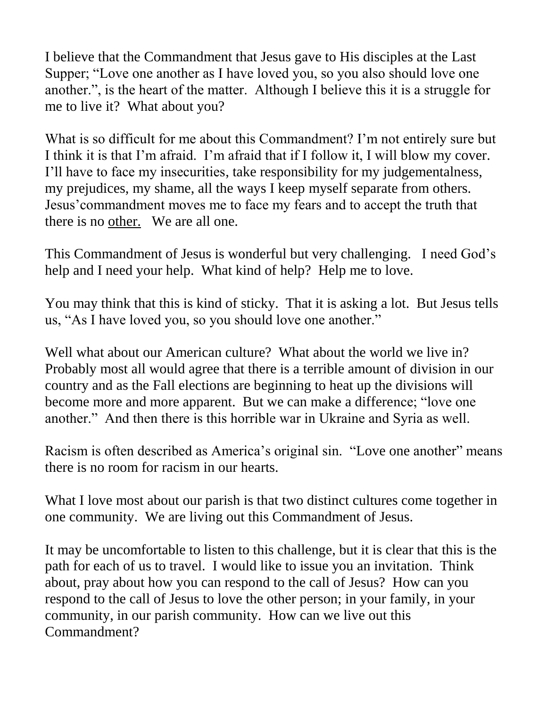I believe that the Commandment that Jesus gave to His disciples at the Last Supper; "Love one another as I have loved you, so you also should love one another.", is the heart of the matter. Although I believe this it is a struggle for me to live it? What about you?

What is so difficult for me about this Commandment? I'm not entirely sure but I think it is that I'm afraid. I'm afraid that if I follow it, I will blow my cover. I'll have to face my insecurities, take responsibility for my judgementalness, my prejudices, my shame, all the ways I keep myself separate from others. Jesus'commandment moves me to face my fears and to accept the truth that there is no other. We are all one.

This Commandment of Jesus is wonderful but very challenging. I need God's help and I need your help. What kind of help? Help me to love.

You may think that this is kind of sticky. That it is asking a lot. But Jesus tells us, "As I have loved you, so you should love one another."

Well what about our American culture? What about the world we live in? Probably most all would agree that there is a terrible amount of division in our country and as the Fall elections are beginning to heat up the divisions will become more and more apparent. But we can make a difference; "love one another." And then there is this horrible war in Ukraine and Syria as well.

Racism is often described as America's original sin. "Love one another" means there is no room for racism in our hearts.

What I love most about our parish is that two distinct cultures come together in one community. We are living out this Commandment of Jesus.

It may be uncomfortable to listen to this challenge, but it is clear that this is the path for each of us to travel. I would like to issue you an invitation. Think about, pray about how you can respond to the call of Jesus? How can you respond to the call of Jesus to love the other person; in your family, in your community, in our parish community. How can we live out this Commandment?